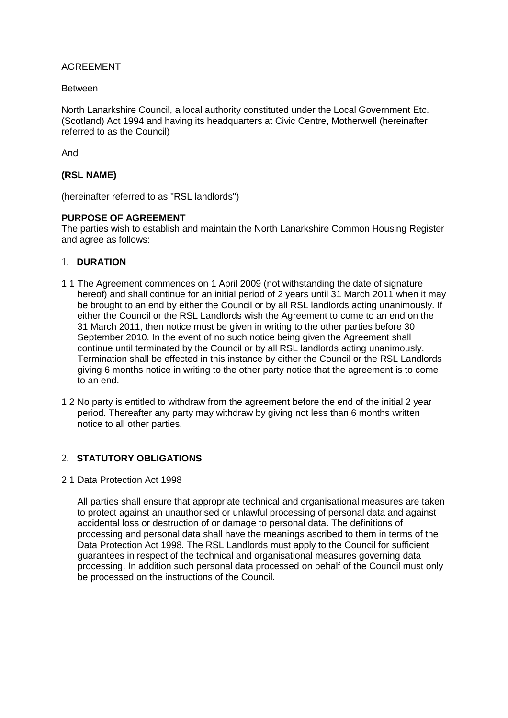## AGREEMENT

#### Between

North Lanarkshire Council, a local authority constituted under the Local Government Etc. (Scotland) Act 1994 and having its headquarters at Civic Centre, Motherwell (hereinafter referred to as the Council)

And

## **(RSL NAME)**

(hereinafter referred to as "RSL landlords")

## **PURPOSE OF AGREEMENT**

The parties wish to establish and maintain the North Lanarkshire Common Housing Register and agree as follows:

## 1. **DURATION**

- 1.1 The Agreement commences on 1 April 2009 (not withstanding the date of signature hereof) and shall continue for an initial period of 2 years until 31 March 2011 when it may be brought to an end by either the Council or by all RSL landlords acting unanimously. If either the Council or the RSL Landlords wish the Agreement to come to an end on the 31 March 2011, then notice must be given in writing to the other parties before 30 September 2010. In the event of no such notice being given the Agreement shall continue until terminated by the Council or by all RSL landlords acting unanimously. Termination shall be effected in this instance by either the Council or the RSL Landlords giving 6 months notice in writing to the other party notice that the agreement is to come to an end.
- 1.2 No party is entitled to withdraw from the agreement before the end of the initial 2 year period. Thereafter any party may withdraw by giving not less than 6 months written notice to all other parties.

# 2. **STATUTORY OBLIGATIONS**

#### 2.1 Data Protection Act 1998

All parties shall ensure that appropriate technical and organisational measures are taken to protect against an unauthorised or unlawful processing of personal data and against accidental loss or destruction of or damage to personal data. The definitions of processing and personal data shall have the meanings ascribed to them in terms of the Data Protection Act 1998. The RSL Landlords must apply to the Council for sufficient guarantees in respect of the technical and organisational measures governing data processing. In addition such personal data processed on behalf of the Council must only be processed on the instructions of the Council.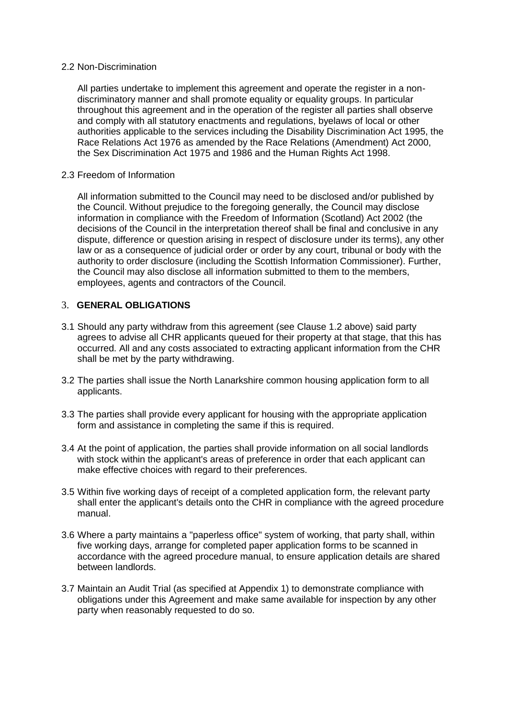#### 2.2 Non-Discrimination

All parties undertake to implement this agreement and operate the register in a nondiscriminatory manner and shall promote equality or equality groups. In particular throughout this agreement and in the operation of the register all parties shall observe and comply with all statutory enactments and regulations, byelaws of local or other authorities applicable to the services including the Disability Discrimination Act 1995, the Race Relations Act 1976 as amended by the Race Relations (Amendment) Act 2000, the Sex Discrimination Act 1975 and 1986 and the Human Rights Act 1998.

#### 2.3 Freedom of Information

All information submitted to the Council may need to be disclosed and/or published by the Council. Without prejudice to the foregoing generally, the Council may disclose information in compliance with the Freedom of Information (Scotland) Act 2002 (the decisions of the Council in the interpretation thereof shall be final and conclusive in any dispute, difference or question arising in respect of disclosure under its terms), any other law or as a consequence of judicial order or order by any court, tribunal or body with the authority to order disclosure (including the Scottish Information Commissioner). Further, the Council may also disclose all information submitted to them to the members, employees, agents and contractors of the Council.

## 3. **GENERAL OBLIGATIONS**

- 3.1 Should any party withdraw from this agreement (see Clause 1.2 above) said party agrees to advise all CHR applicants queued for their property at that stage, that this has occurred. All and any costs associated to extracting applicant information from the CHR shall be met by the party withdrawing.
- 3.2 The parties shall issue the North Lanarkshire common housing application form to all applicants.
- 3.3 The parties shall provide every applicant for housing with the appropriate application form and assistance in completing the same if this is required.
- 3.4 At the point of application, the parties shall provide information on all social landlords with stock within the applicant's areas of preference in order that each applicant can make effective choices with regard to their preferences.
- 3.5 Within five working days of receipt of a completed application form, the relevant party shall enter the applicant's details onto the CHR in compliance with the agreed procedure manual.
- 3.6 Where a party maintains a "paperless office" system of working, that party shall, within five working days, arrange for completed paper application forms to be scanned in accordance with the agreed procedure manual, to ensure application details are shared between landlords.
- 3.7 Maintain an Audit Trial (as specified at Appendix 1) to demonstrate compliance with obligations under this Agreement and make same available for inspection by any other party when reasonably requested to do so.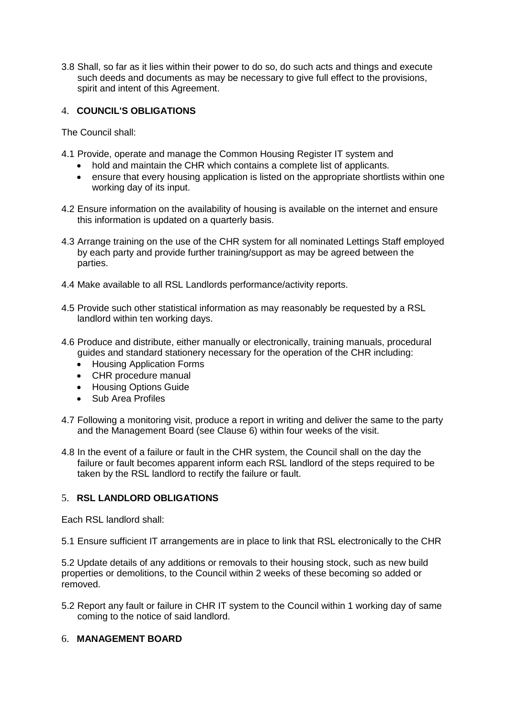3.8 Shall, so far as it lies within their power to do so, do such acts and things and execute such deeds and documents as may be necessary to give full effect to the provisions, spirit and intent of this Agreement.

# 4. **COUNCIL'S OBLIGATIONS**

The Council shall:

- 4.1 Provide, operate and manage the Common Housing Register IT system and
	- hold and maintain the CHR which contains a complete list of applicants.
	- ensure that every housing application is listed on the appropriate shortlists within one working day of its input.
- 4.2 Ensure information on the availability of housing is available on the internet and ensure this information is updated on a quarterly basis.
- 4.3 Arrange training on the use of the CHR system for all nominated Lettings Staff employed by each party and provide further training/support as may be agreed between the parties.
- 4.4 Make available to all RSL Landlords performance/activity reports.
- 4.5 Provide such other statistical information as may reasonably be requested by a RSL landlord within ten working days.
- 4.6 Produce and distribute, either manually or electronically, training manuals, procedural guides and standard stationery necessary for the operation of the CHR including:
	- Housing Application Forms
	- CHR procedure manual
	- Housing Options Guide
	- Sub Area Profiles
- 4.7 Following a monitoring visit, produce a report in writing and deliver the same to the party and the Management Board (see Clause 6) within four weeks of the visit.
- 4.8 In the event of a failure or fault in the CHR system, the Council shall on the day the failure or fault becomes apparent inform each RSL landlord of the steps required to be taken by the RSL landlord to rectify the failure or fault.

## 5. **RSL LANDLORD OBLIGATIONS**

Each RSL landlord shall:

5.1 Ensure sufficient IT arrangements are in place to link that RSL electronically to the CHR

5.2 Update details of any additions or removals to their housing stock, such as new build properties or demolitions, to the Council within 2 weeks of these becoming so added or removed.

5.2 Report any fault or failure in CHR IT system to the Council within 1 working day of same coming to the notice of said landlord.

# 6. **MANAGEMENT BOARD**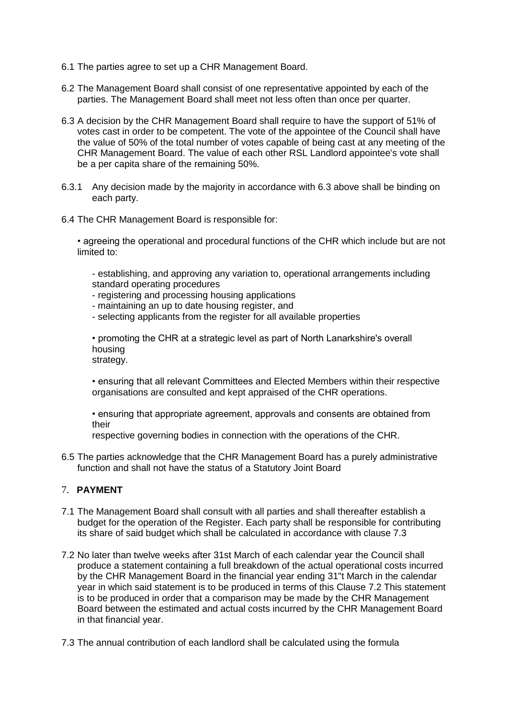- 6.1 The parties agree to set up a CHR Management Board.
- 6.2 The Management Board shall consist of one representative appointed by each of the parties. The Management Board shall meet not less often than once per quarter.
- 6.3 A decision by the CHR Management Board shall require to have the support of 51% of votes cast in order to be competent. The vote of the appointee of the Council shall have the value of 50% of the total number of votes capable of being cast at any meeting of the CHR Management Board. The value of each other RSL Landlord appointee's vote shall be a per capita share of the remaining 50%.
- 6.3.1 Any decision made by the majority in accordance with 6.3 above shall be binding on each party.
- 6.4 The CHR Management Board is responsible for:

• agreeing the operational and procedural functions of the CHR which include but are not limited to:

- establishing, and approving any variation to, operational arrangements including standard operating procedures

- registering and processing housing applications
- maintaining an up to date housing register, and
- selecting applicants from the register for all available properties

• promoting the CHR at a strategic level as part of North Lanarkshire's overall housing strategy.

• ensuring that all relevant Committees and Elected Members within their respective organisations are consulted and kept appraised of the CHR operations.

• ensuring that appropriate agreement, approvals and consents are obtained from their

respective governing bodies in connection with the operations of the CHR.

6.5 The parties acknowledge that the CHR Management Board has a purely administrative function and shall not have the status of a Statutory Joint Board

## 7. **PAYMENT**

- 7.1 The Management Board shall consult with all parties and shall thereafter establish a budget for the operation of the Register. Each party shall be responsible for contributing its share of said budget which shall be calculated in accordance with clause 7.3
- 7.2 No later than twelve weeks after 31st March of each calendar year the Council shall produce a statement containing a full breakdown of the actual operational costs incurred by the CHR Management Board in the financial year ending 31"t March in the calendar year in which said statement is to be produced in terms of this Clause 7.2 This statement is to be produced in order that a comparison may be made by the CHR Management Board between the estimated and actual costs incurred by the CHR Management Board in that financial year.
- 7.3 The annual contribution of each landlord shall be calculated using the formula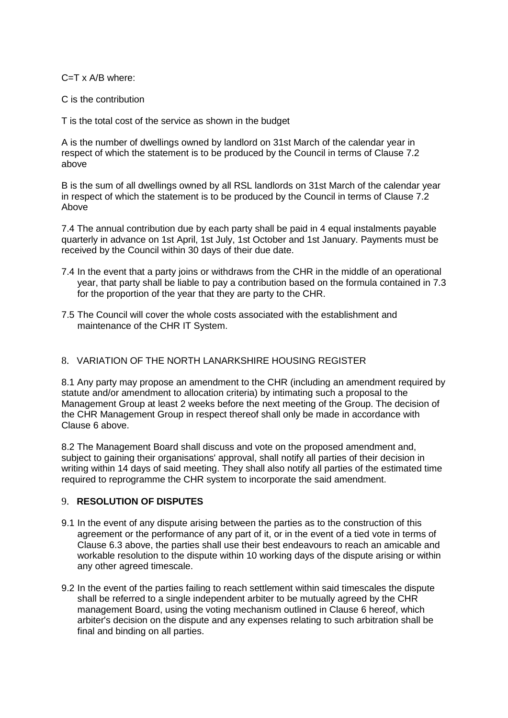C=T x A/B where:

C is the contribution

T is the total cost of the service as shown in the budget

A is the number of dwellings owned by landlord on 31st March of the calendar year in respect of which the statement is to be produced by the Council in terms of Clause 7.2 above

B is the sum of all dwellings owned by all RSL landlords on 31st March of the calendar year in respect of which the statement is to be produced by the Council in terms of Clause 7.2 Above

7.4 The annual contribution due by each party shall be paid in 4 equal instalments payable quarterly in advance on 1st April, 1st July, 1st October and 1st January. Payments must be received by the Council within 30 days of their due date.

- 7.4 In the event that a party joins or withdraws from the CHR in the middle of an operational year, that party shall be liable to pay a contribution based on the formula contained in 7.3 for the proportion of the year that they are party to the CHR.
- 7.5 The Council will cover the whole costs associated with the establishment and maintenance of the CHR IT System.

# 8. VARIATION OF THE NORTH LANARKSHIRE HOUSING REGISTER

8.1 Any party may propose an amendment to the CHR (including an amendment required by statute and/or amendment to allocation criteria) by intimating such a proposal to the Management Group at least 2 weeks before the next meeting of the Group. The decision of the CHR Management Group in respect thereof shall only be made in accordance with Clause 6 above.

8.2 The Management Board shall discuss and vote on the proposed amendment and, subject to gaining their organisations' approval, shall notify all parties of their decision in writing within 14 days of said meeting. They shall also notify all parties of the estimated time required to reprogramme the CHR system to incorporate the said amendment.

## 9. **RESOLUTION OF DISPUTES**

- 9.1 In the event of any dispute arising between the parties as to the construction of this agreement or the performance of any part of it, or in the event of a tied vote in terms of Clause 6.3 above, the parties shall use their best endeavours to reach an amicable and workable resolution to the dispute within 10 working days of the dispute arising or within any other agreed timescale.
- 9.2 In the event of the parties failing to reach settlement within said timescales the dispute shall be referred to a single independent arbiter to be mutually agreed by the CHR management Board, using the voting mechanism outlined in Clause 6 hereof, which arbiter's decision on the dispute and any expenses relating to such arbitration shall be final and binding on all parties.